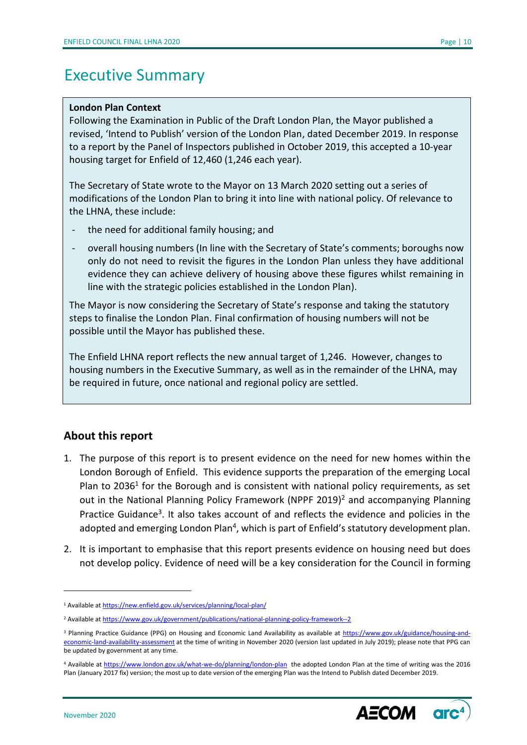# Executive Summary

#### **London Plan Context**

Following the Examination in Public of the Draft London Plan, the Mayor published a revised, 'Intend to Publish' version of the London Plan, dated December 2019. In response to a report by the Panel of Inspectors published in October 2019, this accepted a 10-year housing target for Enfield of 12,460 (1,246 each year).

The Secretary of State wrote to the Mayor on 13 March 2020 setting out a series of modifications of the London Plan to bring it into line with national policy. Of relevance to the LHNA, these include:

- the need for additional family housing; and
- overall housing numbers (In line with the Secretary of State's comments; boroughs now only do not need to revisit the figures in the London Plan unless they have additional evidence they can achieve delivery of housing above these figures whilst remaining in line with the strategic policies established in the London Plan).

The Mayor is now considering the Secretary of State's response and taking the statutory steps to finalise the London Plan. Final confirmation of housing numbers will not be possible until the Mayor has published these.

The Enfield LHNA report reflects the new annual target of 1,246. However, changes to housing numbers in the Executive Summary, as well as in the remainder of the LHNA, may be required in future, once national and regional policy are settled.

### **About this report**

- 1. The purpose of this report is to present evidence on the need for new homes within the London Borough of Enfield. This evidence supports the preparation of the emerging Local Plan to 2036<sup>1</sup> for the Borough and is consistent with national policy requirements, as set out in the National Planning Policy Framework (NPPF 2019)<sup>2</sup> and accompanying Planning Practice Guidance<sup>3</sup>. It also takes account of and reflects the evidence and policies in the adopted and emerging London Plan<sup>4</sup>, which is part of Enfield's statutory development plan.
- 2. It is important to emphasise that this report presents evidence on housing need but does not develop policy. Evidence of need will be a key consideration for the Council in forming

<sup>&</sup>lt;sup>4</sup> Available a[t https://www.london.gov.uk/what-we-do/planning/london-plan](https://www.london.gov.uk/what-we-do/planning/london-plan) the adopted London Plan at the time of writing was the 2016 Plan (January 2017 fix) version; the most up to date version of the emerging Plan was the Intend to Publish dated December 2019.



<sup>1</sup> Available a[t https://new.enfield.gov.uk/services/planning/local-plan/](https://new.enfield.gov.uk/services/planning/local-plan/)

<sup>&</sup>lt;sup>2</sup> Available a[t https://www.gov.uk/government/publications/national-planning-policy-framework--2](https://www.gov.uk/government/publications/national-planning-policy-framework--2)

<sup>&</sup>lt;sup>3</sup> Planning Practice Guidance (PPG) on Housing and Economic Land Availability as available at [https://www.gov.uk/guidance/housing-and](https://www.gov.uk/guidance/housing-and-economic-land-availability-assessment)[economic-land-availability-assessment](https://www.gov.uk/guidance/housing-and-economic-land-availability-assessment) at the time of writing in November 2020 (version last updated in July 2019); please note that PPG can be updated by government at any time.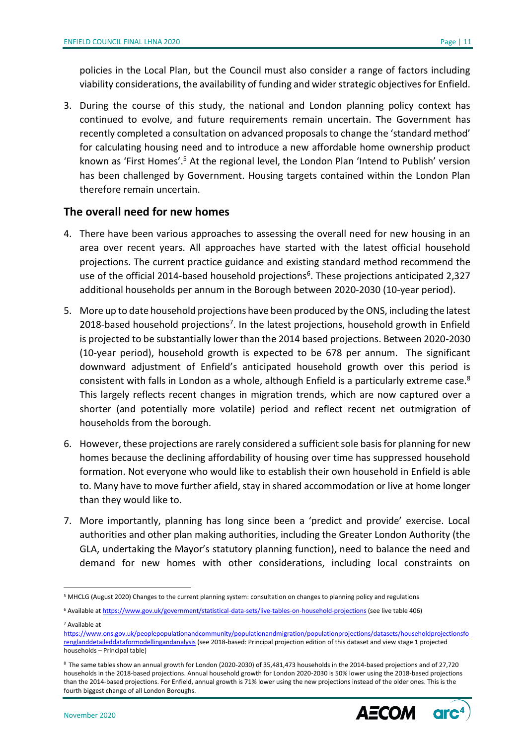policies in the Local Plan, but the Council must also consider a range of factors including viability considerations, the availability of funding and wider strategic objectives for Enfield.

3. During the course of this study, the national and London planning policy context has continued to evolve, and future requirements remain uncertain. The Government has recently completed a consultation on advanced proposals to change the 'standard method' for calculating housing need and to introduce a new affordable home ownership product known as 'First Homes'.<sup>5</sup> At the regional level, the London Plan 'Intend to Publish' version has been challenged by Government. Housing targets contained within the London Plan therefore remain uncertain.

### **The overall need for new homes**

- 4. There have been various approaches to assessing the overall need for new housing in an area over recent years. All approaches have started with the latest official household projections. The current practice guidance and existing standard method recommend the use of the official 2014-based household projections<sup>6</sup>. These projections anticipated 2,327 additional households per annum in the Borough between 2020-2030 (10-year period).
- 5. More up to date household projections have been produced by the ONS, including the latest 2018-based household projections<sup>7</sup>. In the latest projections, household growth in Enfield is projected to be substantially lower than the 2014 based projections. Between 2020-2030 (10-year period), household growth is expected to be 678 per annum. The significant downward adjustment of Enfield's anticipated household growth over this period is consistent with falls in London as a whole, although Enfield is a particularly extreme case.<sup>8</sup> This largely reflects recent changes in migration trends, which are now captured over a shorter (and potentially more volatile) period and reflect recent net outmigration of households from the borough.
- 6. However, these projections are rarely considered a sufficient sole basis for planning for new homes because the declining affordability of housing over time has suppressed household formation. Not everyone who would like to establish their own household in Enfield is able to. Many have to move further afield, stay in shared accommodation or live at home longer than they would like to.
- 7. More importantly, planning has long since been a 'predict and provide' exercise. Local authorities and other plan making authorities, including the Greater London Authority (the GLA, undertaking the Mayor's statutory planning function), need to balance the need and demand for new homes with other considerations, including local constraints on

<sup>7</sup> Available at

<sup>8</sup> The same tables show an annual growth for London (2020-2030) of 35,481,473 households in the 2014-based projections and of 27,720 households in the 2018-based projections. Annual household growth for London 2020-2030 is 50% lower using the 2018-based projections than the 2014-based projections. For Enfield, annual growth is 71% lower using the new projections instead of the older ones. This is the fourth biggest change of all London Boroughs.



<sup>5</sup> MHCLG (August 2020) Changes to the current planning system: consultation on changes to planning policy and regulations

<sup>6</sup> Available a[t https://www.gov.uk/government/statistical-data-sets/live-tables-on-household-projections](https://www.gov.uk/government/statistical-data-sets/live-tables-on-household-projections) (see live table 406)

[https://www.ons.gov.uk/peoplepopulationandcommunity/populationandmigration/populationprojections/datasets/householdprojectionsfo](https://www.ons.gov.uk/peoplepopulationandcommunity/populationandmigration/populationprojections/datasets/householdprojectionsforenglanddetaileddataformodellingandanalysis) [renglanddetaileddataformodellingandanalysis](https://www.ons.gov.uk/peoplepopulationandcommunity/populationandmigration/populationprojections/datasets/householdprojectionsforenglanddetaileddataformodellingandanalysis) (see 2018-based: Principal projection edition of this dataset and view stage 1 projected households – Principal table)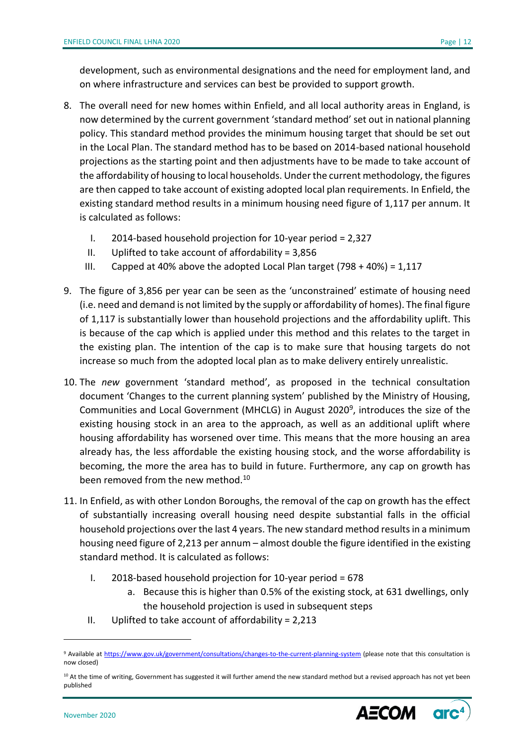development, such as environmental designations and the need for employment land, and on where infrastructure and services can best be provided to support growth.

- 8. The overall need for new homes within Enfield, and all local authority areas in England, is now determined by the current government 'standard method' set out in national planning policy. This standard method provides the minimum housing target that should be set out in the Local Plan. The standard method has to be based on 2014-based national household projections as the starting point and then adjustments have to be made to take account of the affordability of housing to local households. Under the current methodology, the figures are then capped to take account of existing adopted local plan requirements. In Enfield, the existing standard method results in a minimum housing need figure of 1,117 per annum. It is calculated as follows:
	- I. 2014-based household projection for 10-year period = 2,327
	- II. Uplifted to take account of affordability =  $3,856$
	- III. Capped at 40% above the adopted Local Plan target (798 + 40%) = 1,117
- 9. The figure of 3,856 per year can be seen as the 'unconstrained' estimate of housing need (i.e. need and demand is not limited by the supply or affordability of homes). The final figure of 1,117 is substantially lower than household projections and the affordability uplift. This is because of the cap which is applied under this method and this relates to the target in the existing plan. The intention of the cap is to make sure that housing targets do not increase so much from the adopted local plan as to make delivery entirely unrealistic.
- 10. The *new* government 'standard method', as proposed in the technical consultation document 'Changes to the current planning system' published by the Ministry of Housing, Communities and Local Government (MHCLG) in August 2020<sup>9</sup>, introduces the size of the existing housing stock in an area to the approach, as well as an additional uplift where housing affordability has worsened over time. This means that the more housing an area already has, the less affordable the existing housing stock, and the worse affordability is becoming, the more the area has to build in future. Furthermore, any cap on growth has been removed from the new method.<sup>10</sup>
- 11. In Enfield, as with other London Boroughs, the removal of the cap on growth has the effect of substantially increasing overall housing need despite substantial falls in the official household projections over the last 4 years. The new standard method results in a minimum housing need figure of 2,213 per annum – almost double the figure identified in the existing standard method. It is calculated as follows:
	- I. 2018-based household projection for 10-year period = 678
		- a. Because this is higher than 0.5% of the existing stock, at 631 dwellings, only the household projection is used in subsequent steps
	- II. Uplifted to take account of affordability =  $2,213$

<sup>&</sup>lt;sup>10</sup> At the time of writing, Government has suggested it will further amend the new standard method but a revised approach has not yet been published



<sup>9</sup> Available at<https://www.gov.uk/government/consultations/changes-to-the-current-planning-system> (please note that this consultation is now closed)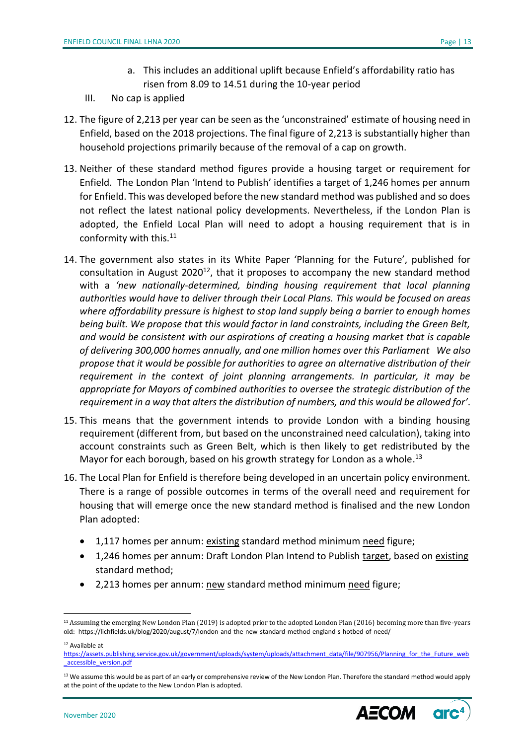- a. This includes an additional uplift because Enfield's affordability ratio has risen from 8.09 to 14.51 during the 10-year period
- III. No cap is applied
- 12. The figure of 2,213 per year can be seen as the 'unconstrained' estimate of housing need in Enfield, based on the 2018 projections. The final figure of 2,213 is substantially higher than household projections primarily because of the removal of a cap on growth.
- 13. Neither of these standard method figures provide a housing target or requirement for Enfield. The London Plan 'Intend to Publish' identifies a target of 1,246 homes per annum for Enfield. This was developed before the new standard method was published and so does not reflect the latest national policy developments. Nevertheless, if the London Plan is adopted, the Enfield Local Plan will need to adopt a housing requirement that is in conformity with this.<sup>11</sup>
- 14. The government also states in its White Paper 'Planning for the Future', published for consultation in August 2020<sup>12</sup>, that it proposes to accompany the new standard method with a *'new nationally-determined, binding housing requirement that local planning authorities would have to deliver through their Local Plans. This would be focused on areas where affordability pressure is highest to stop land supply being a barrier to enough homes being built. We propose that this would factor in land constraints, including the Green Belt, and would be consistent with our aspirations of creating a housing market that is capable of delivering 300,000 homes annually, and one million homes over this Parliament We also propose that it would be possible for authorities to agree an alternative distribution of their requirement in the context of joint planning arrangements. In particular, it may be appropriate for Mayors of combined authorities to oversee the strategic distribution of the requirement in a way that alters the distribution of numbers, and this would be allowed for'*.
- 15. This means that the government intends to provide London with a binding housing requirement (different from, but based on the unconstrained need calculation), taking into account constraints such as Green Belt, which is then likely to get redistributed by the Mayor for each borough, based on his growth strategy for London as a whole.<sup>13</sup>
- 16. The Local Plan for Enfield is therefore being developed in an uncertain policy environment. There is a range of possible outcomes in terms of the overall need and requirement for housing that will emerge once the new standard method is finalised and the new London Plan adopted:
	- 1,117 homes per annum: existing standard method minimum need figure;
	- 1,246 homes per annum: Draft London Plan Intend to Publish target, based on existing standard method;
	- 2,213 homes per annum: new standard method minimum need figure;

<sup>&</sup>lt;sup>13</sup> We assume this would be as part of an early or comprehensive review of the New London Plan. Therefore the standard method would apply at the point of the update to the New London Plan is adopted.



<sup>11</sup> Assuming the emerging New London Plan (2019) is adopted prior to the adopted London Plan (2016) becoming more than five-years old: <https://lichfields.uk/blog/2020/august/7/london-and-the-new-standard-method-england-s-hotbed-of-need/>

<sup>12</sup> Available at

[https://assets.publishing.service.gov.uk/government/uploads/system/uploads/attachment\\_data/file/907956/Planning\\_for\\_the\\_Future\\_web](https://assets.publishing.service.gov.uk/government/uploads/system/uploads/attachment_data/file/907956/Planning_for_the_Future_web_accessible_version.pdf) [\\_accessible\\_version.pdf](https://assets.publishing.service.gov.uk/government/uploads/system/uploads/attachment_data/file/907956/Planning_for_the_Future_web_accessible_version.pdf)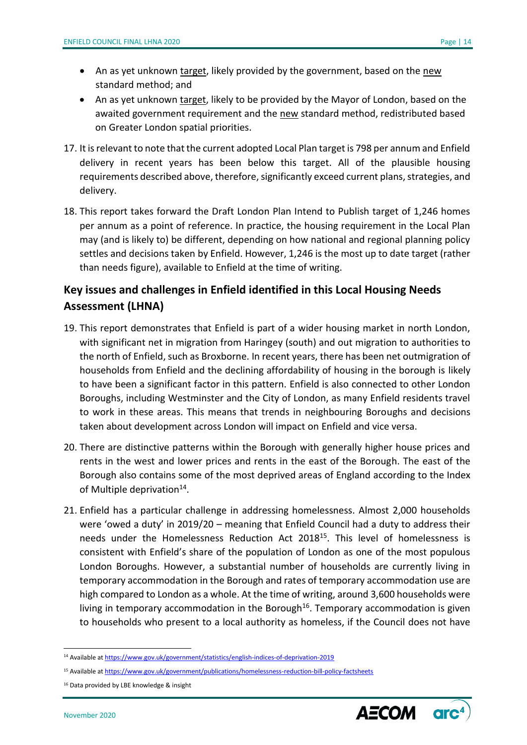- An as yet unknown target, likely provided by the government, based on the new standard method; and
- An as yet unknown target, likely to be provided by the Mayor of London, based on the awaited government requirement and the new standard method, redistributed based on Greater London spatial priorities.
- 17. It is relevant to note that the current adopted Local Plan target is 798 per annum and Enfield delivery in recent years has been below this target. All of the plausible housing requirements described above, therefore, significantly exceed current plans, strategies, and delivery.
- 18. This report takes forward the Draft London Plan Intend to Publish target of 1,246 homes per annum as a point of reference. In practice, the housing requirement in the Local Plan may (and is likely to) be different, depending on how national and regional planning policy settles and decisions taken by Enfield. However, 1,246 is the most up to date target (rather than needs figure), available to Enfield at the time of writing.

## **Key issues and challenges in Enfield identified in this Local Housing Needs Assessment (LHNA)**

- 19. This report demonstrates that Enfield is part of a wider housing market in north London, with significant net in migration from Haringey (south) and out migration to authorities to the north of Enfield, such as Broxborne. In recent years, there has been net outmigration of households from Enfield and the declining affordability of housing in the borough is likely to have been a significant factor in this pattern. Enfield is also connected to other London Boroughs, including Westminster and the City of London, as many Enfield residents travel to work in these areas. This means that trends in neighbouring Boroughs and decisions taken about development across London will impact on Enfield and vice versa.
- 20. There are distinctive patterns within the Borough with generally higher house prices and rents in the west and lower prices and rents in the east of the Borough. The east of the Borough also contains some of the most deprived areas of England according to the Index of Multiple deprivation<sup>14</sup>.
- 21. Enfield has a particular challenge in addressing homelessness. Almost 2,000 households were 'owed a duty' in 2019/20 – meaning that Enfield Council had a duty to address their needs under the Homelessness Reduction Act 2018<sup>15</sup>. This level of homelessness is consistent with Enfield's share of the population of London as one of the most populous London Boroughs. However, a substantial number of households are currently living in temporary accommodation in the Borough and rates of temporary accommodation use are high compared to London as a whole. At the time of writing, around 3,600 households were living in temporary accommodation in the Borough<sup>16</sup>. Temporary accommodation is given to households who present to a local authority as homeless, if the Council does not have



<sup>14</sup> Available a[t https://www.gov.uk/government/statistics/english-indices-of-deprivation-2019](https://www.gov.uk/government/statistics/english-indices-of-deprivation-2019)

<sup>15</sup> Available a[t https://www.gov.uk/government/publications/homelessness-reduction-bill-policy-factsheets](https://www.gov.uk/government/publications/homelessness-reduction-bill-policy-factsheets)

<sup>&</sup>lt;sup>16</sup> Data provided by LBE knowledge & insight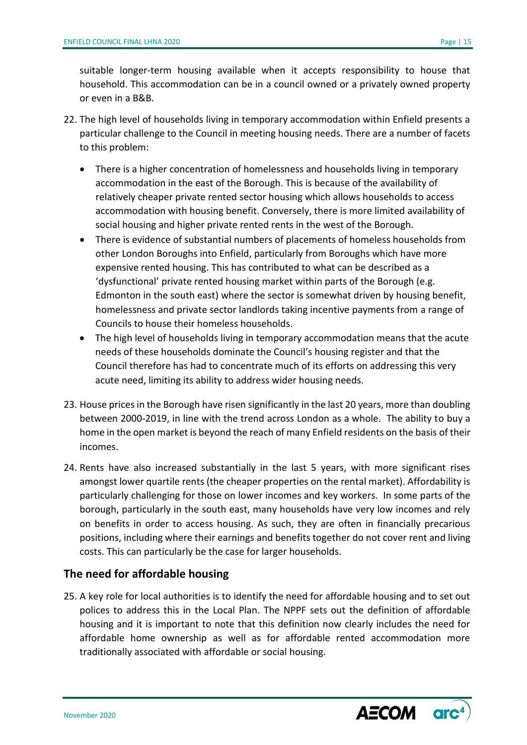suitable longer-term housing available when it accepts responsibility to house that household. This accommodation can be in a council owned or a privately owned property or even in a B&B.

- 22. The high level of households living in temporary accommodation within Enfield presents a particular challenge to the Council in meeting housing needs. There are a number of facets to this problem:
	- There is a higher concentration of homelessness and households living in temporary accommodation in the east of the Borough. This is because of the availability of relatively cheaper private rented sector housing which allows households to access accommodation with housing benefit. Conversely, there is more limited availability of social housing and higher private rented rents in the west of the Borough.
	- There is evidence of substantial numbers of placements of homeless households from other London Boroughs into Enfield, particularly from Boroughs which have more expensive rented housing. This has contributed to what can be described as a 'dysfunctional' private rented housing market within parts of the Borough (e.g. Edmonton in the south east) where the sector is somewhat driven by housing benefit, homelessness and private sector landlords taking incentive payments from a range of Councils to house their homeless households.
	- The high level of households living in temporary accommodation means that the acute needs of these households dominate the Council's housing register and that the Council therefore has had to concentrate much of its efforts on addressing this very acute need, limiting its ability to address wider housing needs.
- 23. House prices in the Borough have risen significantly in the last 20 years, more than doubling between 2000-2019, in line with the trend across London as a whole. The ability to buy a home in the open market is beyond the reach of many Enfield residents on the basis of their incomes.
- 24. Rents have also increased substantially in the last 5 years, with more significant rises amongst lower quartile rents (the cheaper properties on the rental market). Affordability is particularly challenging for those on lower incomes and key workers. In some parts of the borough, particularly in the south east, many households have very low incomes and rely on benefits in order to access housing. As such, they are often in financially precarious positions, including where their earnings and benefits together do not cover rent and living costs. This can particularly be the case for larger households.

### **The need for affordable housing**

25. A key role for local authorities is to identify the need for affordable housing and to set out polices to address this in the Local Plan. The NPPF sets out the definition of affordable housing and it is important to note that this definition now clearly includes the need for affordable home ownership as well as for affordable rented accommodation more traditionally associated with affordable or social housing.

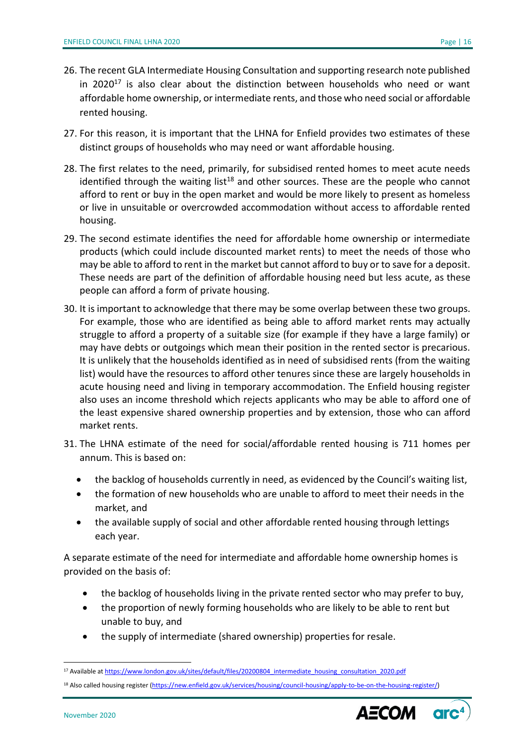- 26. The recent GLA Intermediate Housing Consultation and supporting research note published in 2020 $17$  is also clear about the distinction between households who need or want affordable home ownership, or intermediate rents, and those who need social or affordable rented housing.
- 27. For this reason, it is important that the LHNA for Enfield provides two estimates of these distinct groups of households who may need or want affordable housing.
- 28. The first relates to the need, primarily, for subsidised rented homes to meet acute needs identified through the waiting list<sup>18</sup> and other sources. These are the people who cannot afford to rent or buy in the open market and would be more likely to present as homeless or live in unsuitable or overcrowded accommodation without access to affordable rented housing.
- 29. The second estimate identifies the need for affordable home ownership or intermediate products (which could include discounted market rents) to meet the needs of those who may be able to afford to rent in the market but cannot afford to buy or to save for a deposit. These needs are part of the definition of affordable housing need but less acute, as these people can afford a form of private housing.
- 30. It is important to acknowledge that there may be some overlap between these two groups. For example, those who are identified as being able to afford market rents may actually struggle to afford a property of a suitable size (for example if they have a large family) or may have debts or outgoings which mean their position in the rented sector is precarious. It is unlikely that the households identified as in need of subsidised rents (from the waiting list) would have the resources to afford other tenures since these are largely households in acute housing need and living in temporary accommodation. The Enfield housing register also uses an income threshold which rejects applicants who may be able to afford one of the least expensive shared ownership properties and by extension, those who can afford market rents.
- 31. The LHNA estimate of the need for social/affordable rented housing is 711 homes per annum. This is based on:
	- the backlog of households currently in need, as evidenced by the Council's waiting list,
	- the formation of new households who are unable to afford to meet their needs in the market, and
	- the available supply of social and other affordable rented housing through lettings each year.

A separate estimate of the need for intermediate and affordable home ownership homes is provided on the basis of:

- the backlog of households living in the private rented sector who may prefer to buy,
- the proportion of newly forming households who are likely to be able to rent but unable to buy, and
- the supply of intermediate (shared ownership) properties for resale.

<sup>18</sup> Also called housing register [\(https://new.enfield.gov.uk/services/housing/council-housing/apply-to-be-on-the-housing-register/\)](https://new.enfield.gov.uk/services/housing/council-housing/apply-to-be-on-the-housing-register/)



<sup>17</sup> Available a[t https://www.london.gov.uk/sites/default/files/20200804\\_intermediate\\_housing\\_consultation\\_2020.pdf](https://www.london.gov.uk/sites/default/files/20200804_intermediate_housing_consultation_2020.pdf)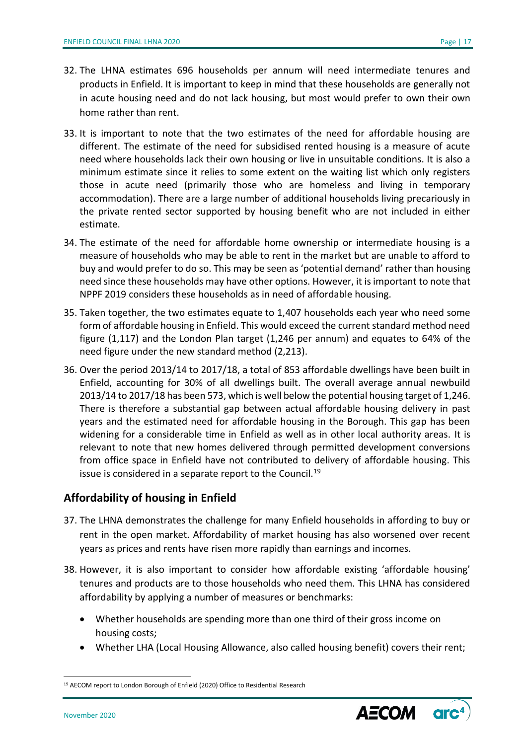- 32. The LHNA estimates 696 households per annum will need intermediate tenures and products in Enfield. It is important to keep in mind that these households are generally not in acute housing need and do not lack housing, but most would prefer to own their own home rather than rent.
- 33. It is important to note that the two estimates of the need for affordable housing are different. The estimate of the need for subsidised rented housing is a measure of acute need where households lack their own housing or live in unsuitable conditions. It is also a minimum estimate since it relies to some extent on the waiting list which only registers those in acute need (primarily those who are homeless and living in temporary accommodation). There are a large number of additional households living precariously in the private rented sector supported by housing benefit who are not included in either estimate.
- 34. The estimate of the need for affordable home ownership or intermediate housing is a measure of households who may be able to rent in the market but are unable to afford to buy and would prefer to do so. This may be seen as 'potential demand' rather than housing need since these households may have other options. However, it is important to note that NPPF 2019 considers these households as in need of affordable housing.
- 35. Taken together, the two estimates equate to 1,407 households each year who need some form of affordable housing in Enfield. This would exceed the current standard method need figure (1,117) and the London Plan target (1,246 per annum) and equates to 64% of the need figure under the new standard method (2,213).
- 36. Over the period 2013/14 to 2017/18, a total of 853 affordable dwellings have been built in Enfield, accounting for 30% of all dwellings built. The overall average annual newbuild 2013/14 to 2017/18 has been 573, which is well below the potential housing target of 1,246. There is therefore a substantial gap between actual affordable housing delivery in past years and the estimated need for affordable housing in the Borough. This gap has been widening for a considerable time in Enfield as well as in other local authority areas. It is relevant to note that new homes delivered through permitted development conversions from office space in Enfield have not contributed to delivery of affordable housing. This issue is considered in a separate report to the Council.<sup>19</sup>

### **Affordability of housing in Enfield**

- 37. The LHNA demonstrates the challenge for many Enfield households in affording to buy or rent in the open market. Affordability of market housing has also worsened over recent years as prices and rents have risen more rapidly than earnings and incomes.
- 38. However, it is also important to consider how affordable existing 'affordable housing' tenures and products are to those households who need them. This LHNA has considered affordability by applying a number of measures or benchmarks:
	- Whether households are spending more than one third of their gross income on housing costs;
	- Whether LHA (Local Housing Allowance, also called housing benefit) covers their rent;

<sup>&</sup>lt;sup>19</sup> AECOM report to London Borough of Enfield (2020) Office to Residential Research



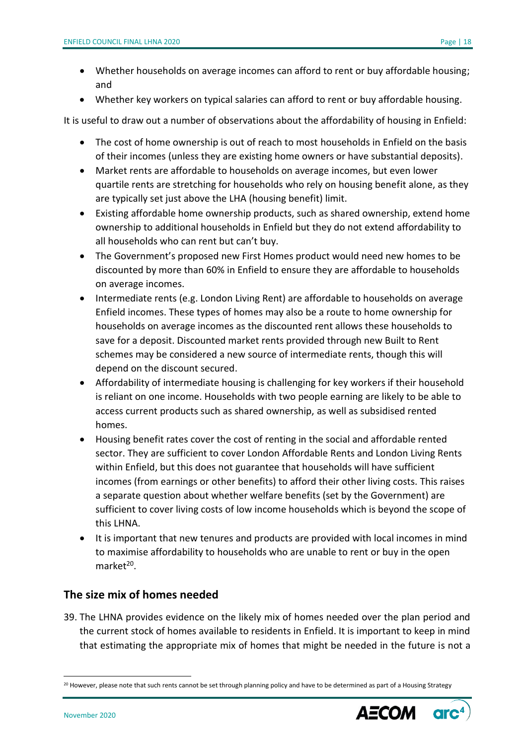- Whether households on average incomes can afford to rent or buy affordable housing; and
- Whether key workers on typical salaries can afford to rent or buy affordable housing.

It is useful to draw out a number of observations about the affordability of housing in Enfield:

- The cost of home ownership is out of reach to most households in Enfield on the basis of their incomes (unless they are existing home owners or have substantial deposits).
- Market rents are affordable to households on average incomes, but even lower quartile rents are stretching for households who rely on housing benefit alone, as they are typically set just above the LHA (housing benefit) limit.
- Existing affordable home ownership products, such as shared ownership, extend home ownership to additional households in Enfield but they do not extend affordability to all households who can rent but can't buy.
- The Government's proposed new First Homes product would need new homes to be discounted by more than 60% in Enfield to ensure they are affordable to households on average incomes.
- Intermediate rents (e.g. London Living Rent) are affordable to households on average Enfield incomes. These types of homes may also be a route to home ownership for households on average incomes as the discounted rent allows these households to save for a deposit. Discounted market rents provided through new Built to Rent schemes may be considered a new source of intermediate rents, though this will depend on the discount secured.
- Affordability of intermediate housing is challenging for key workers if their household is reliant on one income. Households with two people earning are likely to be able to access current products such as shared ownership, as well as subsidised rented homes.
- Housing benefit rates cover the cost of renting in the social and affordable rented sector. They are sufficient to cover London Affordable Rents and London Living Rents within Enfield, but this does not guarantee that households will have sufficient incomes (from earnings or other benefits) to afford their other living costs. This raises a separate question about whether welfare benefits (set by the Government) are sufficient to cover living costs of low income households which is beyond the scope of this LHNA.
- It is important that new tenures and products are provided with local incomes in mind to maximise affordability to households who are unable to rent or buy in the open market<sup>20</sup>.

### **The size mix of homes needed**

39. The LHNA provides evidence on the likely mix of homes needed over the plan period and the current stock of homes available to residents in Enfield. It is important to keep in mind that estimating the appropriate mix of homes that might be needed in the future is not a

<sup>&</sup>lt;sup>20</sup> However, please note that such rents cannot be set through planning policy and have to be determined as part of a Housing Strategy

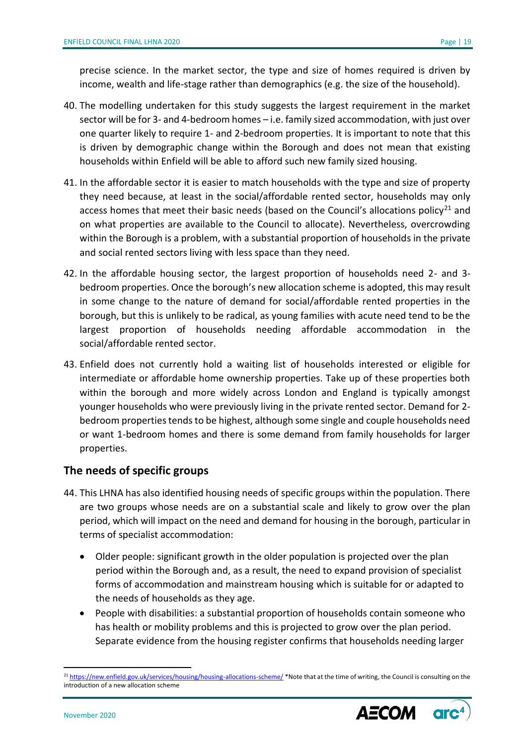precise science. In the market sector, the type and size of homes required is driven by income, wealth and life-stage rather than demographics (e.g. the size of the household).

- 40. The modelling undertaken for this study suggests the largest requirement in the market sector will be for 3- and 4-bedroom homes – i.e. family sized accommodation, with just over one quarter likely to require 1- and 2-bedroom properties. It is important to note that this is driven by demographic change within the Borough and does not mean that existing households within Enfield will be able to afford such new family sized housing.
- 41. In the affordable sector it is easier to match households with the type and size of property they need because, at least in the social/affordable rented sector, households may only access homes that meet their basic needs (based on the Council's allocations policy<sup>21</sup> and on what properties are available to the Council to allocate). Nevertheless, overcrowding within the Borough is a problem, with a substantial proportion of households in the private and social rented sectors living with less space than they need.
- 42. In the affordable housing sector, the largest proportion of households need 2- and 3 bedroom properties. Once the borough's new allocation scheme is adopted, this may result in some change to the nature of demand for social/affordable rented properties in the borough, but this is unlikely to be radical, as young families with acute need tend to be the largest proportion of households needing affordable accommodation in the social/affordable rented sector.
- 43. Enfield does not currently hold a waiting list of households interested or eligible for intermediate or affordable home ownership properties. Take up of these properties both within the borough and more widely across London and England is typically amongst younger households who were previously living in the private rented sector. Demand for 2 bedroom properties tends to be highest, although some single and couple households need or want 1-bedroom homes and there is some demand from family households for larger properties.

### **The needs of specific groups**

- 44. This LHNA has also identified housing needs of specific groups within the population. There are two groups whose needs are on a substantial scale and likely to grow over the plan period, which will impact on the need and demand for housing in the borough, particular in terms of specialist accommodation:
	- Older people: significant growth in the older population is projected over the plan period within the Borough and, as a result, the need to expand provision of specialist forms of accommodation and mainstream housing which is suitable for or adapted to the needs of households as they age.
	- People with disabilities: a substantial proportion of households contain someone who has health or mobility problems and this is projected to grow over the plan period. Separate evidence from the housing register confirms that households needing larger

<sup>&</sup>lt;sup>21</sup> <https://new.enfield.gov.uk/services/housing/housing-allocations-scheme/> \*Note that at the time of writing, the Council is consulting on the introduction of a new allocation scheme